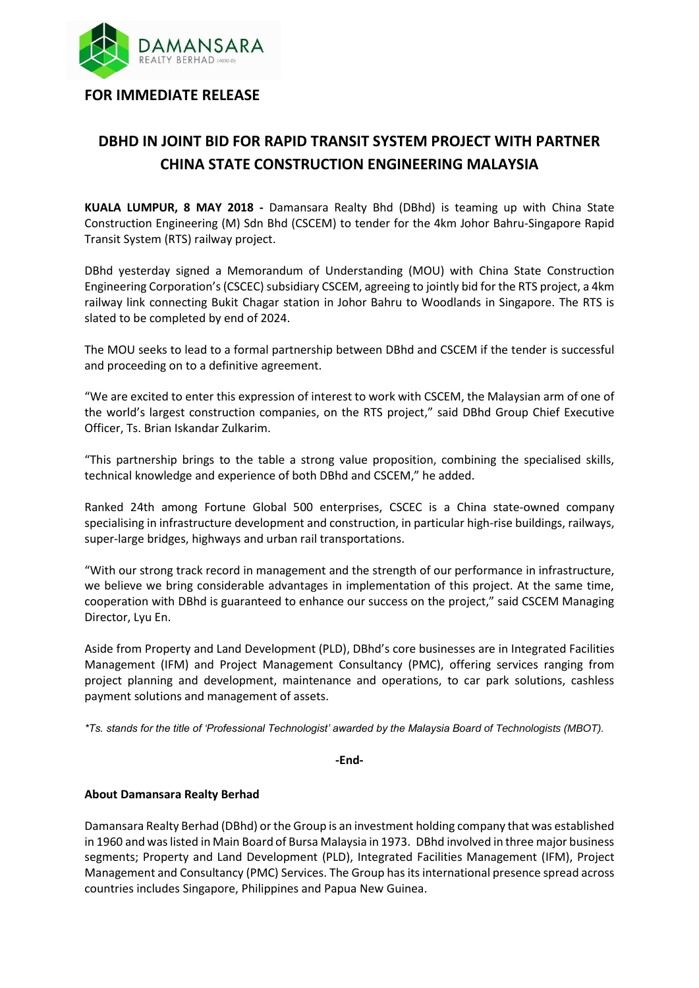

**FOR IMMEDIATE RELEASE**

## **DBHD IN JOINT BID FOR RAPID TRANSIT SYSTEM PROJECT WITH PARTNER CHINA STATE CONSTRUCTION ENGINEERING MALAYSIA**

**KUALA LUMPUR, 8 MAY 2018 -** Damansara Realty Bhd (DBhd) is teaming up with China State Construction Engineering (M) Sdn Bhd (CSCEM) to tender for the 4km Johor Bahru-Singapore Rapid Transit System (RTS) railway project.

DBhd yesterday signed a Memorandum of Understanding (MOU) with China State Construction Engineering Corporation's(CSCEC) subsidiary CSCEM, agreeing to jointly bid for the RTS project, a 4km railway link connecting Bukit Chagar station in Johor Bahru to Woodlands in Singapore. The RTS is slated to be completed by end of 2024.

The MOU seeks to lead to a formal partnership between DBhd and CSCEM if the tender is successful and proceeding on to a definitive agreement.

"We are excited to enter this expression of interest to work with CSCEM, the Malaysian arm of one of the world's largest construction companies, on the RTS project," said DBhd Group Chief Executive Officer, Ts. Brian Iskandar Zulkarim.

"This partnership brings to the table a strong value proposition, combining the specialised skills, technical knowledge and experience of both DBhd and CSCEM," he added.

Ranked 24th among Fortune Global 500 enterprises, CSCEC is a China state-owned company specialising in infrastructure development and construction, in particular high-rise buildings, railways, super-large bridges, highways and urban rail transportations.

"With our strong track record in management and the strength of our performance in infrastructure, we believe we bring considerable advantages in implementation of this project. At the same time, cooperation with DBhd is guaranteed to enhance our success on the project," said CSCEM Managing Director, Lyu En.

Aside from Property and Land Development (PLD), DBhd's core businesses are in Integrated Facilities Management (IFM) and Project Management Consultancy (PMC), offering services ranging from project planning and development, maintenance and operations, to car park solutions, cashless payment solutions and management of assets.

*\*Ts. stands for the title of 'Professional Technologist' awarded by the Malaysia Board of Technologists (MBOT).*

**-End-**

## **About Damansara Realty Berhad**

Damansara Realty Berhad (DBhd) or the Group is an investment holding company that was established in 1960 and was listed in Main Board of Bursa Malaysia in 1973. DBhd involved in three major business segments; Property and Land Development (PLD), Integrated Facilities Management (IFM), Project Management and Consultancy (PMC) Services. The Group has its international presence spread across countries includes Singapore, Philippines and Papua New Guinea.